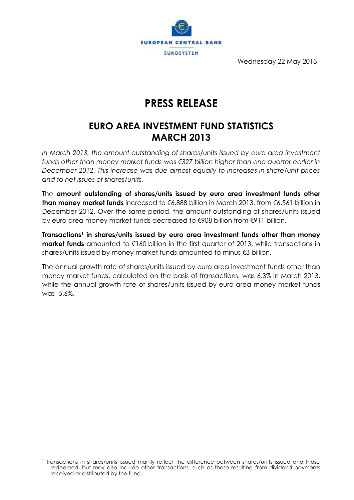

Wednesday 22 May 2013

# **PRESS RELEASE**

## **EURO AREA INVESTMENT FUND STATISTICS MARCH 2013**

In March 2013, the amount outstanding of shares/units issued by euro area investment *funds other than money market funds was €327 billion higher than one quarter earlier in December 2012. This increase was due almost equally to increases in share/unit prices and to net issues of shares/units.*

The **amount outstanding of shares/units issued by euro area investment funds other than money market funds** increased to €6,888 billion in March 2013, from €6,561 billion in December 2012. Over the same period, the amount outstanding of shares/units issued by euro area money market funds decreased to €908 billion from €911 billion.

**Transactions<sup>1</sup> in shares/units issued by euro area investment funds other than money market funds** amounted to €160 billion in the first quarter of 2013, while transactions in shares/units issued by money market funds amounted to minus €3 billion.

The annual growth rate of shares/units issued by euro area investment funds other than money market funds, calculated on the basis of transactions, was 6.3% in March 2013, while the annual growth rate of shares/units issued by euro area money market funds was -5.6%.

 $\overline{a}$ 

<sup>1</sup> Transactions in shares/units issued mainly reflect the difference between shares/units issued and those redeemed, but may also include other transactions, such as those resulting from dividend payments received or distributed by the fund.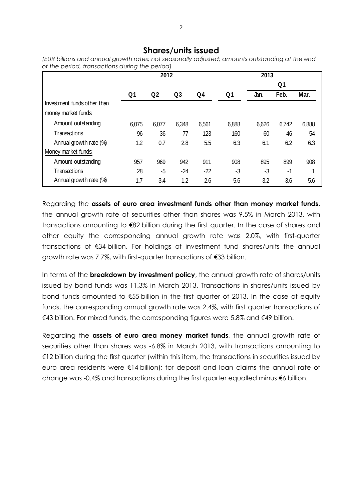### **Shares/units issued**

|                             | 2012           |                |                |                | 2013           |                |        |        |
|-----------------------------|----------------|----------------|----------------|----------------|----------------|----------------|--------|--------|
|                             |                |                |                |                |                | Q <sub>1</sub> |        |        |
|                             | Q <sub>1</sub> | Q <sub>2</sub> | Q <sub>3</sub> | Q <sub>4</sub> | Q <sub>1</sub> | Jan.           | Feb.   | Mar.   |
| Investment funds other than |                |                |                |                |                |                |        |        |
| money market funds:         |                |                |                |                |                |                |        |        |
| Amount outstanding          | 6,075          | 6,077          | 6,348          | 6,561          | 6,888          | 6,626          | 6,742  | 6,888  |
| Transactions                | 96             | 36             | 77             | 123            | 160            | 60             | 46     | 54     |
| Annual growth rate (%)      | 1.2            | 0.7            | 2.8            | 5.5            | 6.3            | 6.1            | 6.2    | 6.3    |
| Money market funds:         |                |                |                |                |                |                |        |        |
| Amount outstanding          | 957            | 969            | 942            | 911            | 908            | 895            | 899    | 908    |
| Transactions                | 28             | -5             | -24            | -22            | -3             | -3             | -1     |        |
| Annual growth rate (%)      | 1.7            | 3.4            | 1.2            | $-2.6$         | $-5.6$         | $-3.2$         | $-3.6$ | $-5.6$ |

*of the period, transactions during the period)*

Regarding the **assets of euro area investment funds other than money market funds**, the annual growth rate of securities other than shares was 9.5% in March 2013, with transactions amounting to €82 billion during the first quarter. In the case of shares and other equity the corresponding annual growth rate was 2.0%, with first-quarter transactions of €34 billion. For holdings of investment fund shares/units the annual growth rate was 7.7%, with first-quarter transactions of €33 billion.

In terms of the **breakdown by investment policy**, the annual growth rate of shares/units issued by bond funds was 11.3% in March 2013. Transactions in shares/units issued by bond funds amounted to €55 billion in the first quarter of 2013. In the case of equity funds, the corresponding annual growth rate was 2.4%, with first quarter transactions of €43 billion. For mixed funds, the corresponding figures were 5.8% and €49 billion.

Regarding the **assets of euro area money market funds**, the annual growth rate of securities other than shares was -6.8% in March 2013, with transactions amounting to €12 billion during the first quarter (within this item, the transactions in securities issued by euro area residents were €14 billion); for deposit and loan claims the annual rate of change was -0.4% and transactions during the first quarter equalled minus €6 billion.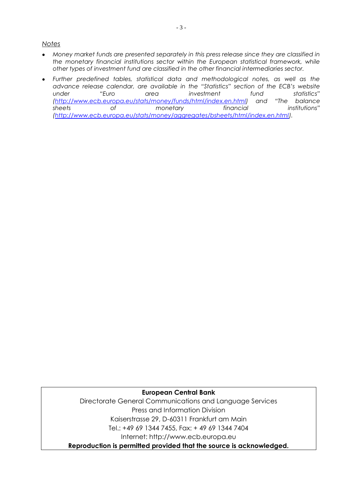#### *Notes*

- *Money market funds are presented separately in this press release since they are classified in the monetary financial institutions sector within the European statistical framework, while other types of investment fund are classified in the other financial intermediaries sector.*
- *Further predefined tables, statistical data and methodological notes, as well as the advance release calendar, are available in the "Statistics" section of the ECB's website under "Euro area investment fund statistics" [\(http://www.ecb.europa.eu/stats/money/funds/html/index.en.html](http://www.ecb.europa.eu/stats/money/funds/html/index.en.html)) and "The balance sheets of monetary financial institutions" [\(http://www.ecb.europa.eu/stats/money/aggregates/bsheets/html/index.en.html\)](http://www.ecb.europa.eu/stats/money/aggregates/bsheets/html/index.en.html).*

#### **European Central Bank**

Directorate General Communications and Language Services Press and Information Division Kaiserstrasse 29, D-60311 Frankfurt am Main Tel.: +49 69 1344 7455, Fax: + 49 69 1344 7404 Internet: http://www.ecb.europa.eu

**Reproduction is permitted provided that the source is acknowledged.**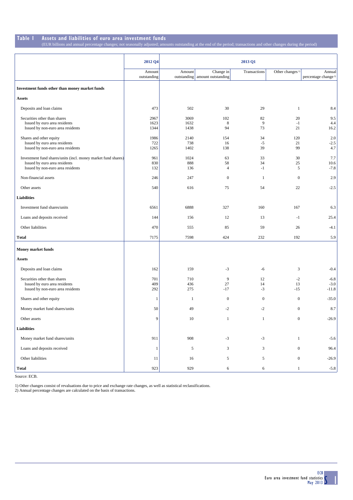## **Table 1 Assets and liabilities of euro area investment funds**

(EUR billions and annual percentage changes; not seasonally adjusted; amounts outstanding at the end of the period; transactions and other changes during the period)

|                                                                                                                                     | 2012 Q4              | 2013 Q1              |                                  |                  |                             |                                 |  |
|-------------------------------------------------------------------------------------------------------------------------------------|----------------------|----------------------|----------------------------------|------------------|-----------------------------|---------------------------------|--|
|                                                                                                                                     | Amount               | Amount               | Change in                        | Transactions     | Other changes <sup>1)</sup> | Annual                          |  |
|                                                                                                                                     | outstanding          |                      | outstanding   amount outstanding |                  |                             | percentage change <sup>2)</sup> |  |
| Investment funds other than money market funds                                                                                      |                      |                      |                                  |                  |                             |                                 |  |
| <b>Assets</b>                                                                                                                       |                      |                      |                                  |                  |                             |                                 |  |
| Deposits and loan claims                                                                                                            | 473                  | 502                  | 30                               | 29               | $\mathbf{1}$                | 8.4                             |  |
| Securities other than shares<br>Issued by euro area residents<br>Issued by non-euro area residents                                  | 2967<br>1623<br>1344 | 3069<br>1632<br>1438 | 102<br>8<br>94                   | 82<br>9<br>73    | 20<br>$-1$<br>21            | 9.5<br>4.4<br>16.2              |  |
| Shares and other equity<br>Issued by euro area residents<br>Issued by non-euro area residents                                       | 1986<br>722<br>1265  | 2140<br>738<br>1402  | 154<br>16<br>138                 | 34<br>$-5$<br>39 | 120<br>21<br>99             | 2.0<br>$-2.5$<br>4.7            |  |
| Investment fund shares/units (incl. money market fund shares)<br>Issued by euro area residents<br>Issued by non-euro area residents | 961<br>830<br>132    | 1024<br>888<br>136   | 63<br>58<br>$\overline{4}$       | 33<br>34<br>$-1$ | 30<br>25<br>5               | 7.7<br>10.6<br>$-7.8$           |  |
| Non-financial assets                                                                                                                | 246                  | 247                  | $\mathbf{0}$                     | $\mathbf{1}$     | $\mathbf{0}$                | 2.9                             |  |
| Other assets                                                                                                                        | 540                  | 616                  | 75                               | 54               | 22                          | $-2.5$                          |  |
| <b>Liabilities</b>                                                                                                                  |                      |                      |                                  |                  |                             |                                 |  |
| Investment fund shares/units                                                                                                        | 6561                 | 6888                 | 327                              | 160              | 167                         | 6.3                             |  |
| Loans and deposits received                                                                                                         | 144                  | 156                  | 12                               | 13               | $-1$                        | 25.4                            |  |
| Other liabilities                                                                                                                   | 470                  | 555                  | 85                               | 59               | 26                          | $-4.1$                          |  |
| <b>Total</b>                                                                                                                        | 7175                 | 7598                 | 424                              | 232              | 192                         | 5.9                             |  |
| <b>Money market funds</b>                                                                                                           |                      |                      |                                  |                  |                             |                                 |  |
| <b>Assets</b>                                                                                                                       |                      |                      |                                  |                  |                             |                                 |  |
| Deposits and loan claims                                                                                                            | 162                  | 159                  | $-3$                             | -6               | 3                           | $-0.4$                          |  |
| Securities other than shares<br>Issued by euro area residents<br>Issued by non-euro area residents                                  | 701<br>409<br>292    | 710<br>436<br>275    | 9<br>27<br>$-17$                 | 12<br>14<br>$-3$ | $-2$<br>13<br>$-15$         | $-6.8$<br>$-3.0$<br>$-11.8$     |  |
| Shares and other equity                                                                                                             | $\mathbf{1}$         | -1                   | $\mathbf{0}$                     | $\boldsymbol{0}$ | $\theta$                    | $-35.0$                         |  |
| Money market fund shares/units                                                                                                      | 50                   | 49                   | $-2$                             | $-2$             | $\mathbf{0}$                | 8.7                             |  |
| Other assets                                                                                                                        | 9                    | $10\,$               | $\mathbf{1}$                     | $\mathbf{1}$     | $\boldsymbol{0}$            | $-26.9$                         |  |
| <b>Liabilities</b>                                                                                                                  |                      |                      |                                  |                  |                             |                                 |  |
| Money market fund shares/units                                                                                                      | 911                  | 908                  | $-3$                             | $-3$             | $\,1$                       | $-5.6$                          |  |
| Loans and deposits received                                                                                                         | $\mathbf{1}$         | $\sqrt{5}$           | $\mathfrak{Z}$                   | $\mathfrak{Z}$   | $\mathbf{0}$                | 96.4                            |  |
| Other liabilities                                                                                                                   | 11                   | 16                   | 5                                | 5                | $\mathbf{0}$                | $-26.9$                         |  |
| <b>Total</b>                                                                                                                        | 923                  | 929                  | $\sqrt{6}$                       | 6                | $\mathbf{1}$                | $-5.8$                          |  |

Source: ECB.

1) Other changes consist of revaluations due to price and exchange rate changes, as well as statistical reclassifications. 2) Annual percentage changes are calculated on the basis of transactions.